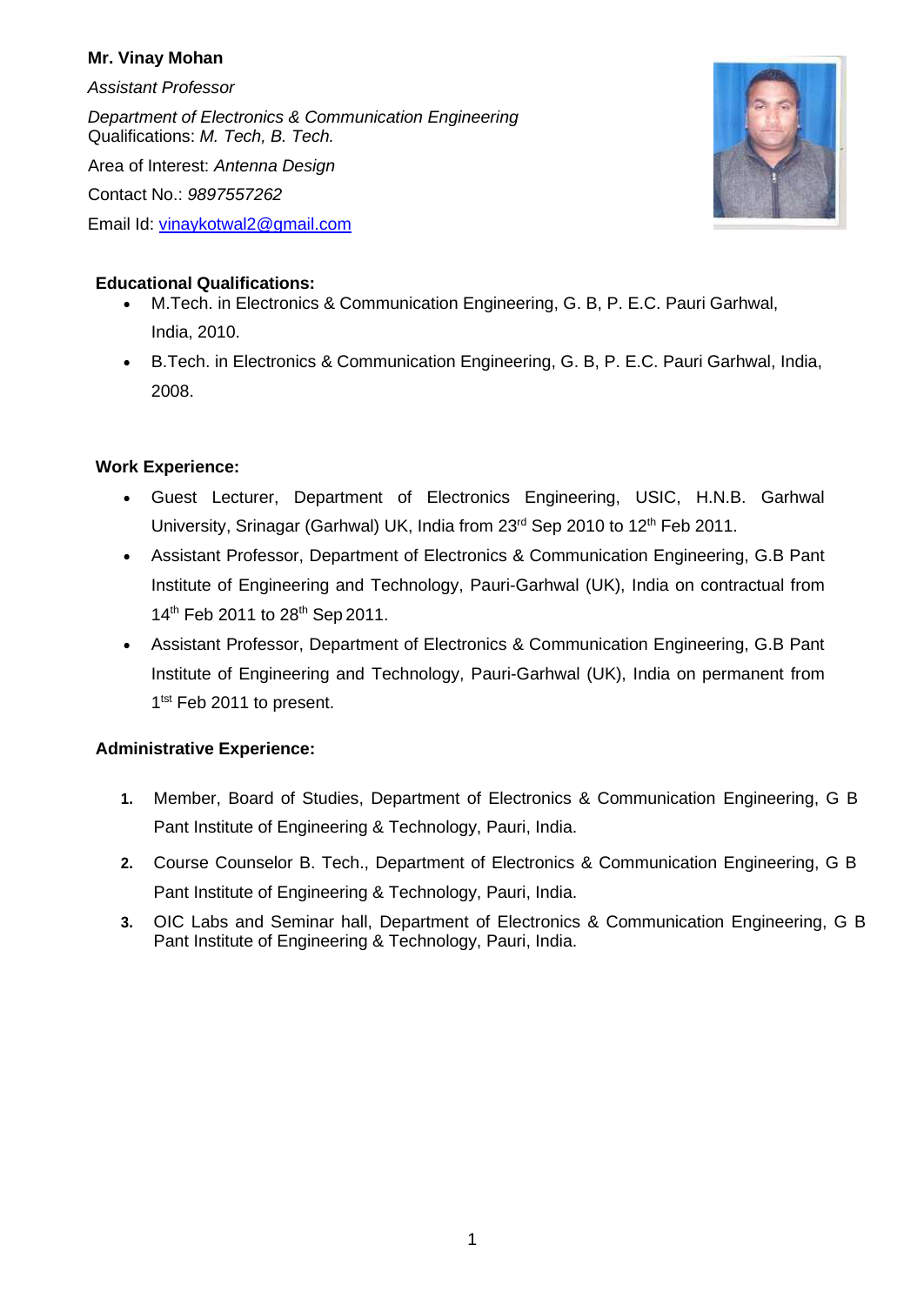## **Mr. Vinay Mohan**

*Assistant Professor*

*Department of Electronics & Communication Engineering* Qualifications: *M. Tech, B. Tech.*

Area of Interest: *Antenna Design*

Contact No.: *9897557262*

Email Id: [vinaykotwal2@gmail.com](mailto:y.singh@gbpec.ac.in)



## **Educational Qualifications:**

- M.Tech. in Electronics & Communication Engineering, G. B, P. E.C. Pauri Garhwal, India, 2010.
- B.Tech. in Electronics & Communication Engineering, G. B, P. E.C. Pauri Garhwal, India, 2008.

# **Work Experience:**

- Guest Lecturer, Department of Electronics Engineering, USIC, H.N.B. Garhwal University, Srinagar (Garhwal) UK, India from 23<sup>rd</sup> Sep 2010 to 12<sup>th</sup> Feb 2011.
- Assistant Professor, Department of Electronics & Communication Engineering, G.B Pant Institute of Engineering and Technology, Pauri-Garhwal (UK), India on contractual from 14<sup>th</sup> Feb 2011 to 28<sup>th</sup> Sep 2011.
- Assistant Professor, Department of Electronics & Communication Engineering, G.B Pant Institute of Engineering and Technology, Pauri-Garhwal (UK), India on permanent from 1<sup>tst</sup> Feb 2011 to present.

# **Administrative Experience:**

- **1.** Member, Board of Studies, Department of Electronics & Communication Engineering, G B Pant Institute of Engineering & Technology, Pauri, India.
- **2.** Course Counselor B. Tech., Department of Electronics & Communication Engineering, G B Pant Institute of Engineering & Technology, Pauri, India.
- **3.** OIC Labs and Seminar hall, Department of Electronics & Communication Engineering, G B Pant Institute of Engineering & Technology, Pauri, India.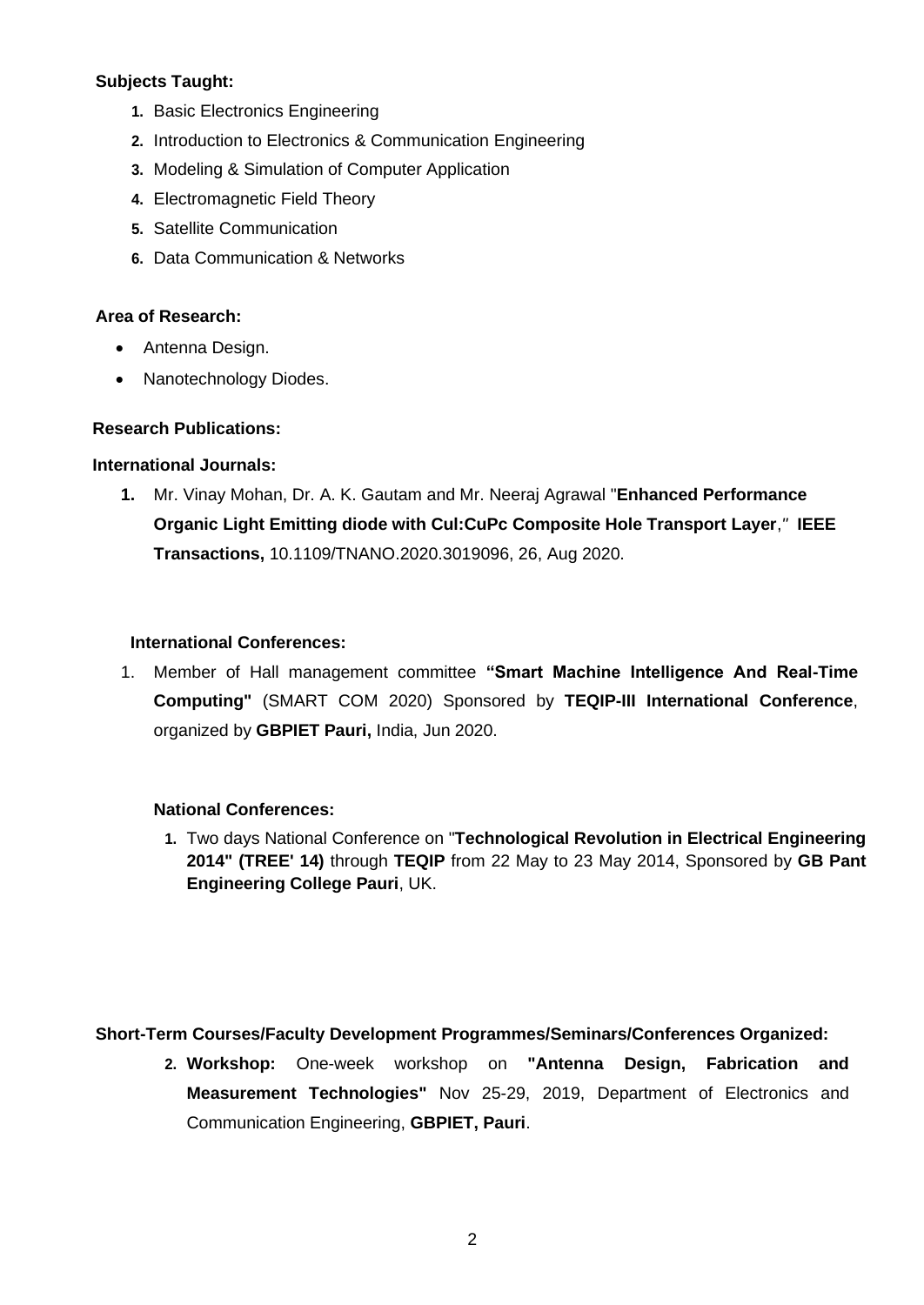## **Subjects Taught:**

- **1.** Basic Electronics Engineering
- **2.** Introduction to Electronics & Communication Engineering
- **3.** Modeling & Simulation of Computer Application
- **4.** Electromagnetic Field Theory
- **5.** Satellite Communication
- **6.** Data Communication & Networks

#### **Area of Research:**

- Antenna Design.
- Nanotechnology Diodes.

#### **Research Publications:**

#### **International Journals:**

**1.** Mr. Vinay Mohan, Dr. A. K. Gautam and Mr. Neeraj Agrawal "**Enhanced Performance Organic Light Emitting diode with Cul:CuPc Composite Hole Transport Layer**,*"* **IEEE Transactions,** 10.1109/TNANO.2020.3019096, 26, Aug 2020.

## **International Conferences:**

1. Member of Hall management committee **"Smart Machine Intelligence And Real-Time Computing"** (SMART COM 2020) Sponsored by **TEQIP-III International Conference**, organized by **GBPIET Pauri,** India, Jun 2020.

#### **National Conferences:**

**1.** Two days National Conference on "**Technological Revolution in Electrical Engineering 2014" (TREE' 14)** through **TEQIP** from 22 May to 23 May 2014, Sponsored by **GB Pant Engineering College Pauri**, UK.

#### **Short-Term Courses/Faculty Development Programmes/Seminars/Conferences Organized:**

**2. Workshop:** One-week workshop on **"Antenna Design, Fabrication and Measurement Technologies"** Nov 25-29, 2019, Department of Electronics and Communication Engineering, **GBPIET, Pauri**.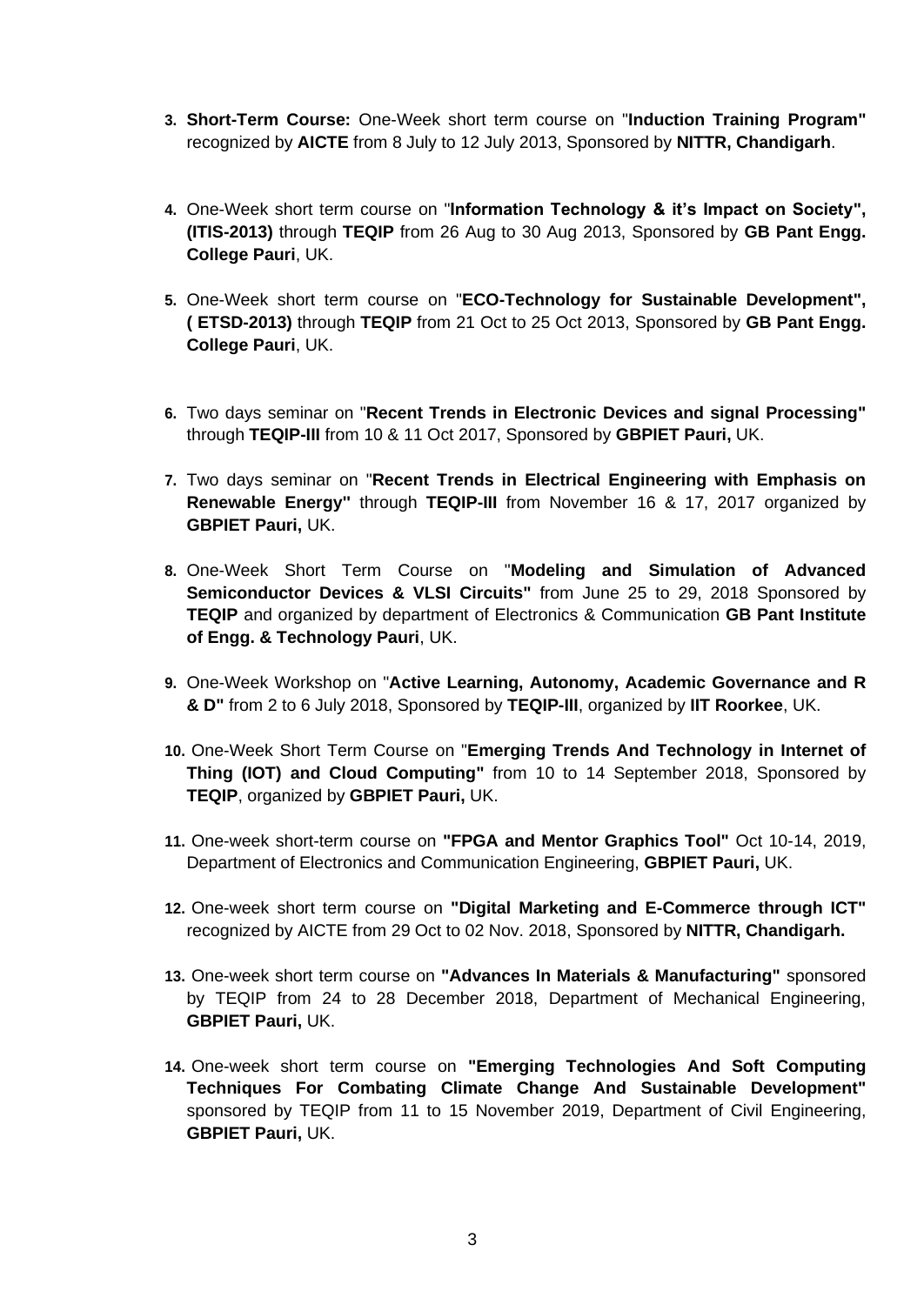- **3. Short-Term Course:** One-Week short term course on "**Induction Training Program"**  recognized by **AICTE** from 8 July to 12 July 2013, Sponsored by **NITTR, Chandigarh**.
- **4.** One-Week short term course on "**Information Technology & it's Impact on Society", (ITIS-2013)** through **TEQIP** from 26 Aug to 30 Aug 2013, Sponsored by **GB Pant Engg. College Pauri**, UK.
- **5.** One-Week short term course on "**ECO-Technology for Sustainable Development", ( ETSD-2013)** through **TEQIP** from 21 Oct to 25 Oct 2013, Sponsored by **GB Pant Engg. College Pauri**, UK.
- **6.** Two days seminar on "**Recent Trends in Electronic Devices and signal Processing"** through **TEQIP-III** from 10 & 11 Oct 2017, Sponsored by **GBPIET Pauri,** UK.
- **7.** Two days seminar on "**Recent Trends in Electrical Engineering with Emphasis on Renewable Energy''** through **TEQIP-III** from November 16 & 17, 2017 organized by **GBPIET Pauri,** UK.
- **8.** One-Week Short Term Course on "**Modeling and Simulation of Advanced Semiconductor Devices & VLSI Circuits"** from June 25 to 29, 2018 Sponsored by **TEQIP** and organized by department of Electronics & Communication **GB Pant Institute of Engg. & Technology Pauri**, UK.
- **9.** One-Week Workshop on "**Active Learning, Autonomy, Academic Governance and R & D"** from 2 to 6 July 2018, Sponsored by **TEQIP-III**, organized by **IIT Roorkee**, UK.
- **10.** One-Week Short Term Course on "**Emerging Trends And Technology in Internet of Thing (IOT) and Cloud Computing"** from 10 to 14 September 2018, Sponsored by **TEQIP**, organized by **GBPIET Pauri,** UK.
- **11.** One-week short-term course on **"FPGA and Mentor Graphics Tool"** Oct 10-14, 2019, Department of Electronics and Communication Engineering, **GBPIET Pauri,** UK.
- **12.** One-week short term course on **"Digital Marketing and E-Commerce through ICT"** recognized by AICTE from 29 Oct to 02 Nov. 2018, Sponsored by **NITTR, Chandigarh.**
- **13.** One-week short term course on **"Advances In Materials & Manufacturing"** sponsored by TEQIP from 24 to 28 December 2018, Department of Mechanical Engineering, **GBPIET Pauri,** UK.
- **14.** One-week short term course on **"Emerging Technologies And Soft Computing Techniques For Combating Climate Change And Sustainable Development"** sponsored by TEQIP from 11 to 15 November 2019, Department of Civil Engineering, **GBPIET Pauri,** UK.